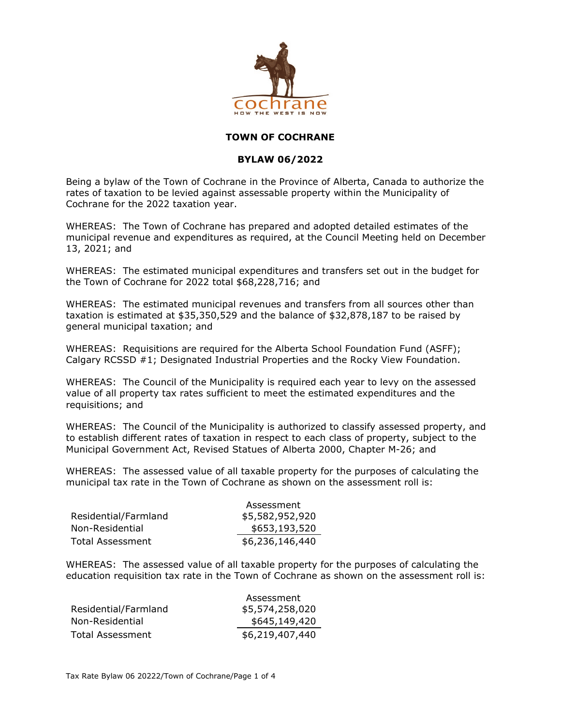

## **TOWN OF COCHRANE**

## **BYLAW 06/2022**

Being a bylaw of the Town of Cochrane in the Province of Alberta, Canada to authorize the rates of taxation to be levied against assessable property within the Municipality of Cochrane for the 2022 taxation year.

WHEREAS: The Town of Cochrane has prepared and adopted detailed estimates of the municipal revenue and expenditures as required, at the Council Meeting held on December 13, 2021; and

WHEREAS: The estimated municipal expenditures and transfers set out in the budget for the Town of Cochrane for 2022 total \$68,228,716; and

WHEREAS: The estimated municipal revenues and transfers from all sources other than taxation is estimated at \$35,350,529 and the balance of \$32,878,187 to be raised by general municipal taxation; and

WHEREAS: Requisitions are required for the Alberta School Foundation Fund (ASFF); Calgary RCSSD #1; Designated Industrial Properties and the Rocky View Foundation.

WHEREAS: The Council of the Municipality is required each year to levy on the assessed value of all property tax rates sufficient to meet the estimated expenditures and the requisitions; and

WHEREAS: The Council of the Municipality is authorized to classify assessed property, and to establish different rates of taxation in respect to each class of property, subject to the Municipal Government Act, Revised Statues of Alberta 2000, Chapter M-26; and

WHEREAS: The assessed value of all taxable property for the purposes of calculating the municipal tax rate in the Town of Cochrane as shown on the assessment roll is:

|                      | Assessment      |
|----------------------|-----------------|
| Residential/Farmland | \$5,582,952,920 |
| Non-Residential      | \$653,193,520   |
| Total Assessment     | \$6,236,146,440 |

WHEREAS: The assessed value of all taxable property for the purposes of calculating the education requisition tax rate in the Town of Cochrane as shown on the assessment roll is:

|                      | Assessment      |
|----------------------|-----------------|
| Residential/Farmland | \$5,574,258,020 |
| Non-Residential      | \$645,149,420   |
| Total Assessment     | \$6,219,407,440 |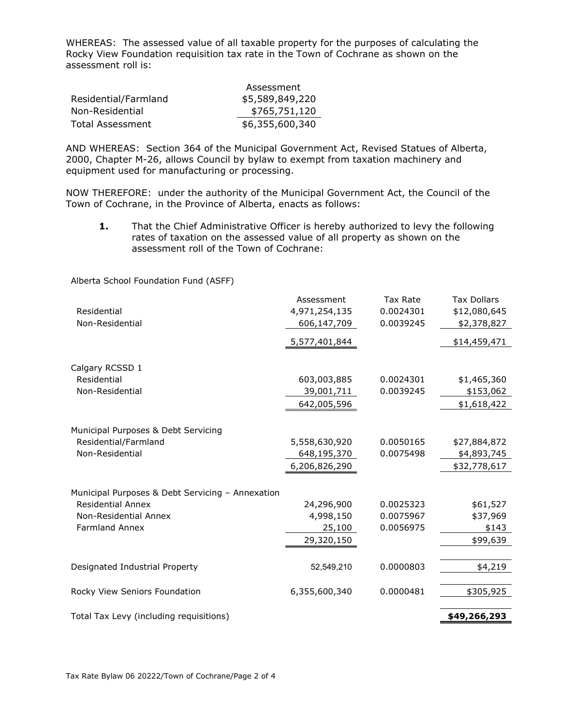WHEREAS: The assessed value of all taxable property for the purposes of calculating the Rocky View Foundation requisition tax rate in the Town of Cochrane as shown on the assessment roll is:

|                      | Assessment      |
|----------------------|-----------------|
| Residential/Farmland | \$5,589,849,220 |
| Non-Residential      | \$765,751,120   |
| Total Assessment     | \$6,355,600,340 |

AND WHEREAS: Section 364 of the Municipal Government Act, Revised Statues of Alberta, 2000, Chapter M-26, allows Council by bylaw to exempt from taxation machinery and equipment used for manufacturing or processing.

NOW THEREFORE: under the authority of the Municipal Government Act, the Council of the Town of Cochrane, in the Province of Alberta, enacts as follows:

**1.** That the Chief Administrative Officer is hereby authorized to levy the following rates of taxation on the assessed value of all property as shown on the assessment roll of the Town of Cochrane:

Alberta School Foundation Fund (ASFF)

|                                                  | Assessment    | <b>Tax Rate</b> | <b>Tax Dollars</b> |
|--------------------------------------------------|---------------|-----------------|--------------------|
| Residential                                      | 4,971,254,135 | 0.0024301       | \$12,080,645       |
| Non-Residential                                  | 606,147,709   | 0.0039245       | \$2,378,827        |
|                                                  | 5,577,401,844 |                 | \$14,459,471       |
| Calgary RCSSD 1                                  |               |                 |                    |
| Residential                                      | 603,003,885   | 0.0024301       | \$1,465,360        |
| Non-Residential                                  | 39,001,711    | 0.0039245       | \$153,062          |
|                                                  | 642,005,596   |                 | \$1,618,422        |
|                                                  |               |                 |                    |
| Municipal Purposes & Debt Servicing              |               |                 |                    |
| Residential/Farmland                             | 5,558,630,920 | 0.0050165       | \$27,884,872       |
| Non-Residential                                  | 648,195,370   | 0.0075498       | \$4,893,745        |
|                                                  | 6,206,826,290 |                 | \$32,778,617       |
|                                                  |               |                 |                    |
| Municipal Purposes & Debt Servicing - Annexation |               |                 |                    |
| <b>Residential Annex</b>                         | 24,296,900    | 0.0025323       | \$61,527           |
| Non-Residential Annex                            | 4,998,150     | 0.0075967       | \$37,969           |
| <b>Farmland Annex</b>                            | 25,100        | 0.0056975       | \$143              |
|                                                  | 29,320,150    |                 | \$99,639           |
|                                                  |               |                 |                    |
| Designated Industrial Property                   | 52,549,210    | 0.0000803       | \$4,219            |
|                                                  |               |                 |                    |
| Rocky View Seniors Foundation                    | 6,355,600,340 | 0.0000481       | \$305,925          |
|                                                  |               |                 |                    |
| Total Tax Levy (including requisitions)          |               |                 | \$49,266,293       |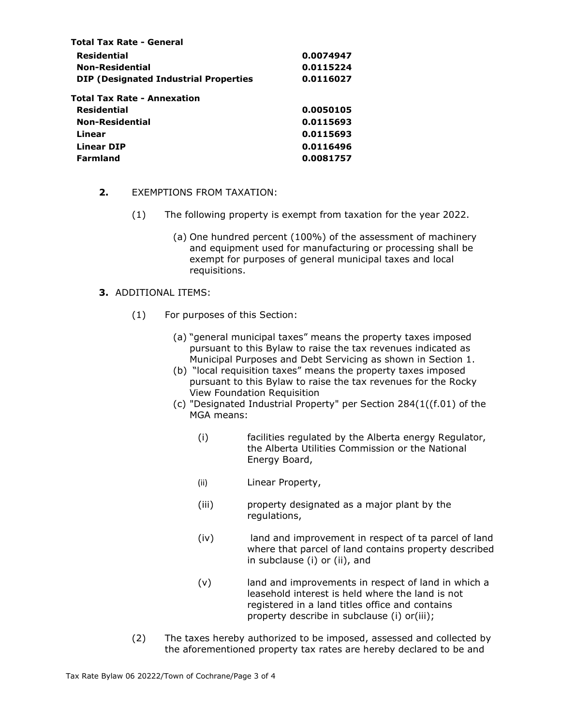| <b>Total Tax Rate - General</b>              |           |  |
|----------------------------------------------|-----------|--|
| <b>Residential</b>                           | 0.0074947 |  |
| <b>Non-Residential</b>                       | 0.0115224 |  |
| <b>DIP (Designated Industrial Properties</b> | 0.0116027 |  |
| <b>Total Tax Rate - Annexation</b>           |           |  |
| <b>Residential</b>                           | 0.0050105 |  |
| <b>Non-Residential</b>                       | 0.0115693 |  |
| Linear                                       | 0.0115693 |  |
| <b>Linear DIP</b>                            | 0.0116496 |  |
| Farmland                                     | 0.0081757 |  |
|                                              |           |  |

## **2.** EXEMPTIONS FROM TAXATION:

- (1) The following property is exempt from taxation for the year 2022.
	- (a) One hundred percent (100%) of the assessment of machinery and equipment used for manufacturing or processing shall be exempt for purposes of general municipal taxes and local requisitions.

## **3.** ADDITIONAL ITEMS:

- (1) For purposes of this Section:
	- (a) "general municipal taxes" means the property taxes imposed pursuant to this Bylaw to raise the tax revenues indicated as Municipal Purposes and Debt Servicing as shown in Section 1.
	- (b) "local requisition taxes" means the property taxes imposed pursuant to this Bylaw to raise the tax revenues for the Rocky View Foundation Requisition
	- (c) "Designated Industrial Property" per Section 284(1((f.01) of the MGA means:
		- (i) facilities regulated by the Alberta energy Regulator, the Alberta Utilities Commission or the National Energy Board,
		- (ii) Linear Property,
		- (iii) property designated as a major plant by the regulations,
		- (iv) land and improvement in respect of ta parcel of land where that parcel of land contains property described in subclause (i) or (ii), and
		- (v) land and improvements in respect of land in which a leasehold interest is held where the land is not registered in a land titles office and contains property describe in subclause (i) or(iii);
- (2) The taxes hereby authorized to be imposed, assessed and collected by the aforementioned property tax rates are hereby declared to be and